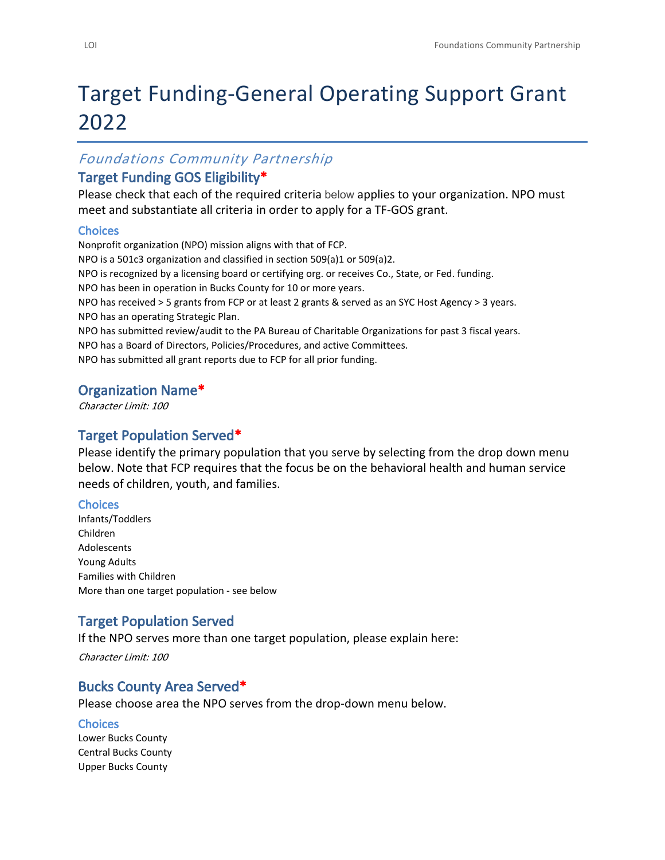# Target Funding-General Operating Support Grant 2022

#### *Foundations Community Partnership*

#### **Target Funding GOS Eligibility\***

Please check that each of the required criteria below applies to your organization. NPO must meet and substantiate all criteria in order to apply for a TF-GOS grant.

#### **Choices**

Nonprofit organization (NPO) mission aligns with that of FCP. NPO is a 501c3 organization and classified in section 509(a)1 or 509(a)2. NPO is recognized by a licensing board or certifying org. or receives Co., State, or Fed. funding. NPO has been in operation in Bucks County for 10 or more years. NPO has received > 5 grants from FCP or at least 2 grants & served as an SYC Host Agency > 3 years. NPO has an operating Strategic Plan. NPO has submitted review/audit to the PA Bureau of Charitable Organizations for past 3 fiscal years. NPO has a Board of Directors, Policies/Procedures, and active Committees. NPO has submitted all grant reports due to FCP for all prior funding.

#### **Organization Name\***

*Character Limit: 100*

#### **Target Population Served\***

Please identify the primary population that you serve by selecting from the drop down menu below. Note that FCP requires that the focus be on the behavioral health and human service needs of children, youth, and families.

#### **Choices**

Infants/Toddlers Children Adolescents Young Adults Families with Children More than one target population - see below

## **Target Population Served**

If the NPO serves more than one target population, please explain here:

*Character Limit: 100*

#### **Bucks County Area Served\***

Please choose area the NPO serves from the drop-down menu below.

#### **Choices**

Lower Bucks County Central Bucks County Upper Bucks County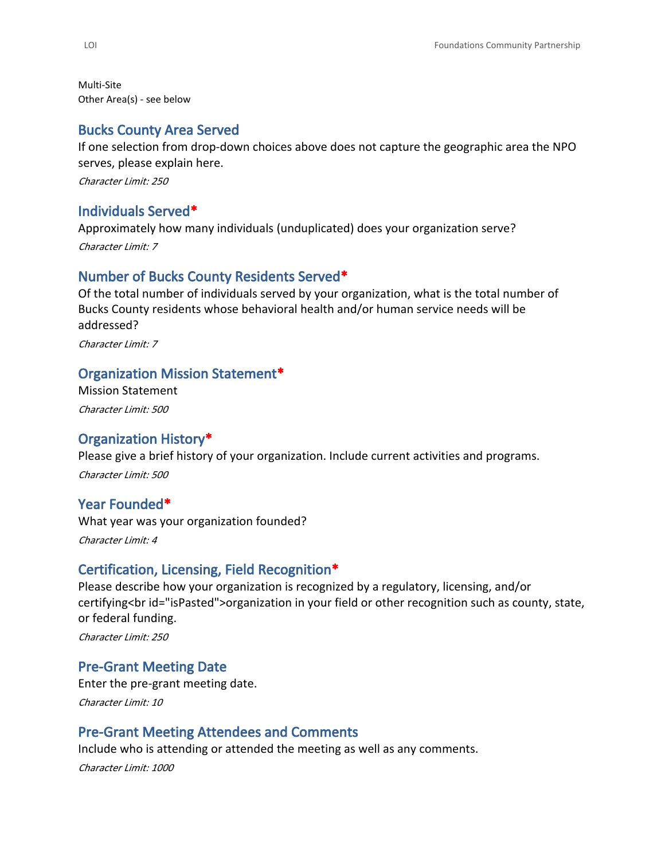Multi-Site Other Area(s) - see below

#### **Bucks County Area Served**

If one selection from drop-down choices above does not capture the geographic area the NPO serves, please explain here.

*Character Limit: 250*

#### **Individuals Served\***

Approximately how many individuals (unduplicated) does your organization serve? *Character Limit: 7*

#### **Number of Bucks County Residents Served\***

Of the total number of individuals served by your organization, what is the total number of Bucks County residents whose behavioral health and/or human service needs will be addressed?

*Character Limit: 7*

#### **Organization Mission Statement\***

Mission Statement *Character Limit: 500*

#### **Organization History\***

Please give a brief history of your organization. Include current activities and programs. *Character Limit: 500*

#### **Year Founded\***

What year was your organization founded? *Character Limit: 4*

#### **Certification, Licensing, Field Recognition\***

Please describe how your organization is recognized by a regulatory, licensing, and/or certifying<br id="isPasted">organization in your field or other recognition such as county, state, or federal funding.

*Character Limit: 250*

#### **Pre-Grant Meeting Date**

Enter the pre-grant meeting date. *Character Limit: 10*

#### **Pre-Grant Meeting Attendees and Comments**

Include who is attending or attended the meeting as well as any comments.

*Character Limit: 1000*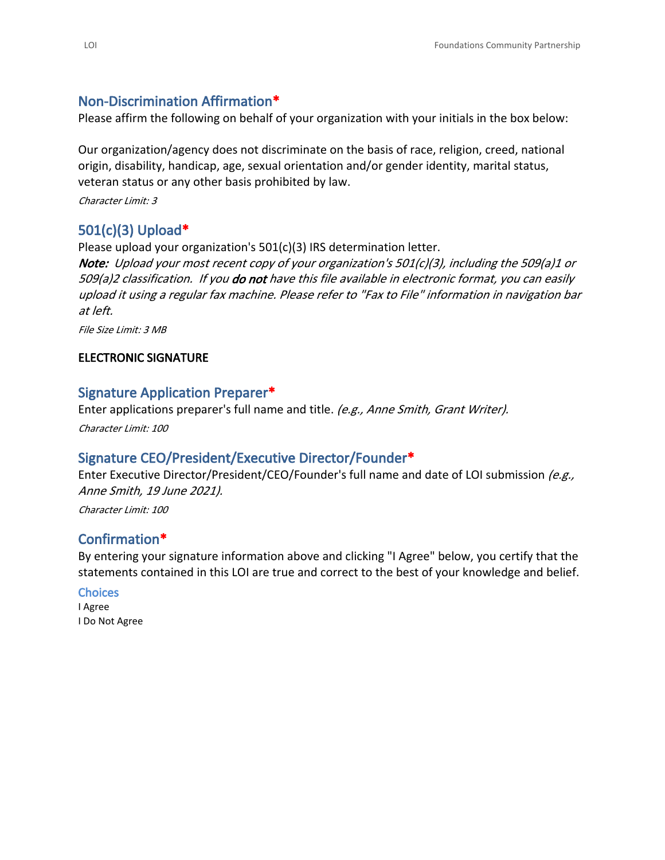# **Non-Discrimination Affirmation\***

Please affirm the following on behalf of your organization with your initials in the box below:

Our organization/agency does not discriminate on the basis of race, religion, creed, national origin, disability, handicap, age, sexual orientation and/or gender identity, marital status, veteran status or any other basis prohibited by law.

*Character Limit: 3*

# **501(c)(3) Upload\***

Please upload your organization's 501(c)(3) IRS determination letter. *Note: Upload your most recent copy of your organization's 501(c)(3), including the 509(a)1 or 509(a)2 classification. If you do not have this file available in electronic format, you can easily upload it using a regular fax machine. Please refer to "Fax to File" information in navigation bar at left.*

*File Size Limit: 3 MB*

#### **ELECTRONIC SIGNATURE**

#### **Signature Application Preparer\***

Enter applications preparer's full name and title. *(e.g., Anne Smith, Grant Writer). Character Limit: 100*

#### **Signature CEO/President/Executive Director/Founder\***

Enter Executive Director/President/CEO/Founder's full name and date of LOI submission *(e.g., Anne Smith, 19 June 2021).*

*Character Limit: 100*

## **Confirmation\***

By entering your signature information above and clicking "I Agree" below, you certify that the statements contained in this LOI are true and correct to the best of your knowledge and belief.

#### **Choices**

I Agree I Do Not Agree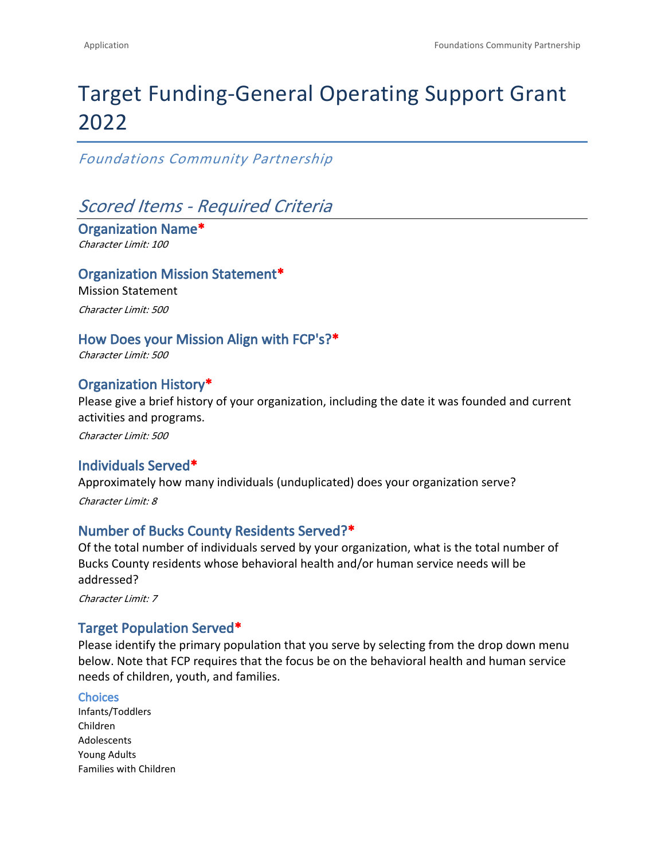# Target Funding-General Operating Support Grant 2022

*Foundations Community Partnership*

# *Scored Items - Required Criteria*

**Organization Name\*** *Character Limit: 100*

#### **Organization Mission Statement\***

Mission Statement *Character Limit: 500*

#### **How Does your Mission Align with FCP's?\***

*Character Limit: 500*

## **Organization History\***

Please give a brief history of your organization, including the date it was founded and current activities and programs.

*Character Limit: 500*

## **Individuals Served\***

Approximately how many individuals (unduplicated) does your organization serve? *Character Limit: 8*

#### **Number of Bucks County Residents Served?\***

Of the total number of individuals served by your organization, what is the total number of Bucks County residents whose behavioral health and/or human service needs will be addressed?

*Character Limit: 7*

## **Target Population Served\***

Please identify the primary population that you serve by selecting from the drop down menu below. Note that FCP requires that the focus be on the behavioral health and human service needs of children, youth, and families.

#### **Choices**

Infants/Toddlers Children Adolescents Young Adults Families with Children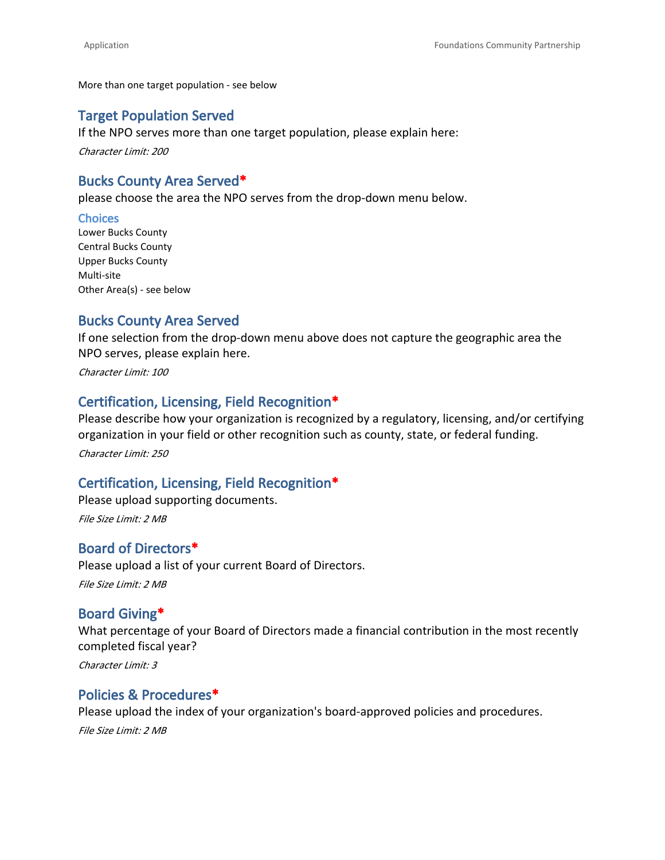More than one target population - see below

#### **Target Population Served**

If the NPO serves more than one target population, please explain here:

*Character Limit: 200*

#### **Bucks County Area Served\***

please choose the area the NPO serves from the drop-down menu below.

#### **Choices**

Lower Bucks County Central Bucks County Upper Bucks County Multi-site Other Area(s) - see below

#### **Bucks County Area Served**

If one selection from the drop-down menu above does not capture the geographic area the NPO serves, please explain here.

*Character Limit: 100*

## **Certification, Licensing, Field Recognition\***

Please describe how your organization is recognized by a regulatory, licensing, and/or certifying organization in your field or other recognition such as county, state, or federal funding. *Character Limit: 250*

#### **Certification, Licensing, Field Recognition\***

Please upload supporting documents. *File Size Limit: 2 MB*

# **Board of Directors\***

Please upload a list of your current Board of Directors.

*File Size Limit: 2 MB*

#### **Board Giving\***

What percentage of your Board of Directors made a financial contribution in the most recently completed fiscal year?

*Character Limit: 3*

#### **Policies & Procedures\***

Please upload the index of your organization's board-approved policies and procedures.

*File Size Limit: 2 MB*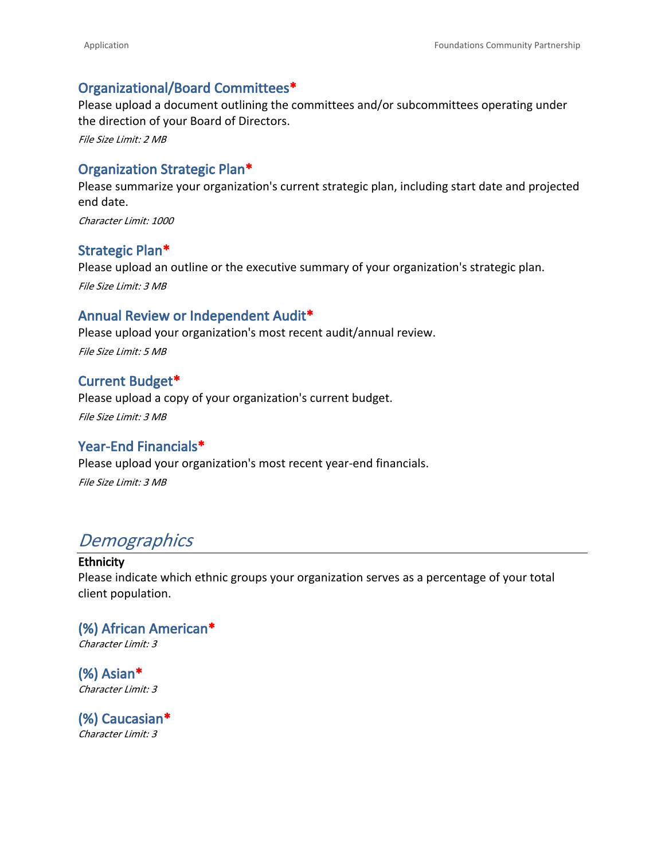#### **Organizational/Board Committees\***

Please upload a document outlining the committees and/or subcommittees operating under the direction of your Board of Directors.

*File Size Limit: 2 MB*

#### **Organization Strategic Plan\***

Please summarize your organization's current strategic plan, including start date and projected end date.

*Character Limit: 1000*

#### **Strategic Plan\***

Please upload an outline or the executive summary of your organization's strategic plan.

*File Size Limit: 3 MB*

#### **Annual Review or Independent Audit\***

Please upload your organization's most recent audit/annual review. *File Size Limit: 5 MB*

#### **Current Budget\***

Please upload a copy of your organization's current budget. *File Size Limit: 3 MB*

#### **Year-End Financials\***

Please upload your organization's most recent year-end financials. *File Size Limit: 3 MB*

# *Demographics*

#### **Ethnicity**

Please indicate which ethnic groups your organization serves as a percentage of your total client population.

## **(%) African American\*** *Character Limit: 3*

**(%) Asian\*** *Character Limit: 3*

**(%) Caucasian\*** *Character Limit: 3*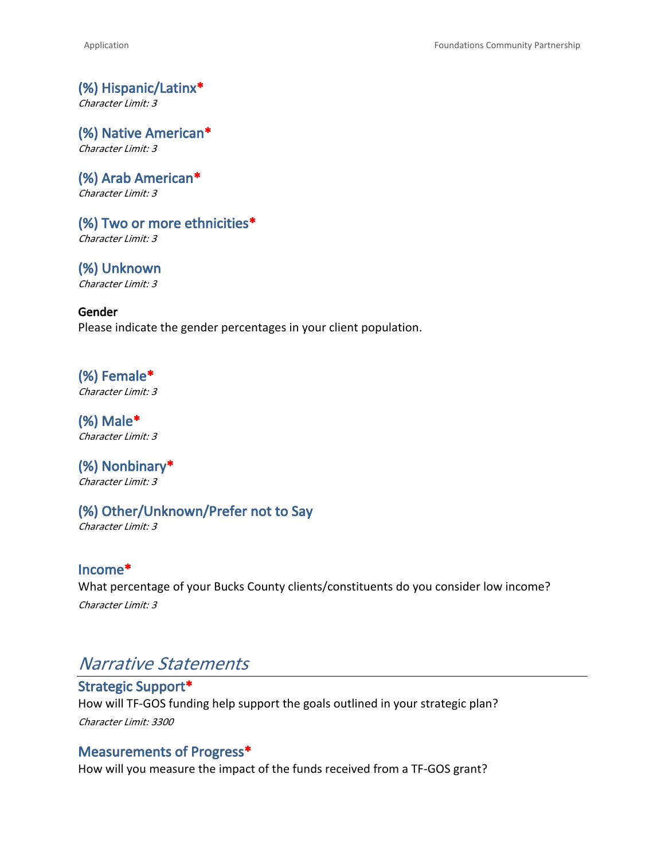**(%) Hispanic/Latinx\*** *Character Limit: 3*

**(%) Native American\*** *Character Limit: 3*

**(%) Arab American\*** *Character Limit: 3*

**(%) Two or more ethnicities\*** *Character Limit: 3*

**(%) Unknown** *Character Limit: 3*

**Gender** Please indicate the gender percentages in your client population.

**(%) Female\*** *Character Limit: 3*

**(%) Male\*** *Character Limit: 3*

**(%) Nonbinary\*** *Character Limit: 3*

**(%) Other/Unknown/Prefer not to Say**

*Character Limit: 3*

**Income\*** What percentage of your Bucks County clients/constituents do you consider low income? *Character Limit: 3*

# *Narrative Statements*

**Strategic Support\*** How will TF-GOS funding help support the goals outlined in your strategic plan? *Character Limit: 3300*

#### **Measurements of Progress\***

How will you measure the impact of the funds received from a TF-GOS grant?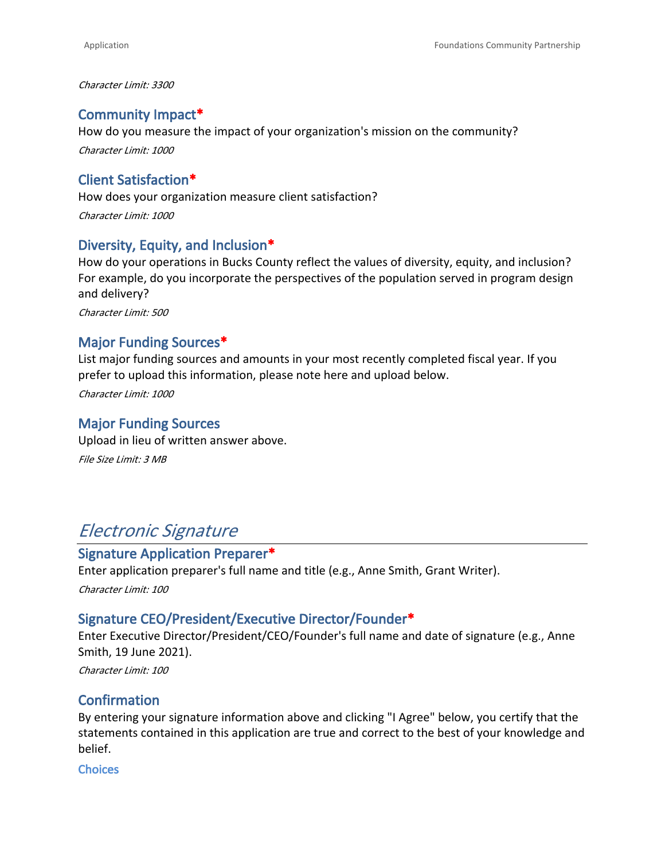*Character Limit: 3300*

#### **Community Impact\***

How do you measure the impact of your organization's mission on the community? *Character Limit: 1000*

#### **Client Satisfaction\***

How does your organization measure client satisfaction? *Character Limit: 1000*

#### **Diversity, Equity, and Inclusion\***

How do your operations in Bucks County reflect the values of diversity, equity, and inclusion? For example, do you incorporate the perspectives of the population served in program design and delivery?

*Character Limit: 500*

#### **Major Funding Sources\***

List major funding sources and amounts in your most recently completed fiscal year. If you prefer to upload this information, please note here and upload below.

*Character Limit: 1000*

#### **Major Funding Sources**

Upload in lieu of written answer above. *File Size Limit: 3 MB*

# *Electronic Signature*

#### **Signature Application Preparer\***

Enter application preparer's full name and title (e.g., Anne Smith, Grant Writer). *Character Limit: 100*

#### **Signature CEO/President/Executive Director/Founder\***

Enter Executive Director/President/CEO/Founder's full name and date of signature (e.g., Anne Smith, 19 June 2021).

*Character Limit: 100*

#### **Confirmation**

By entering your signature information above and clicking "I Agree" below, you certify that the statements contained in this application are true and correct to the best of your knowledge and belief.

**Choices**